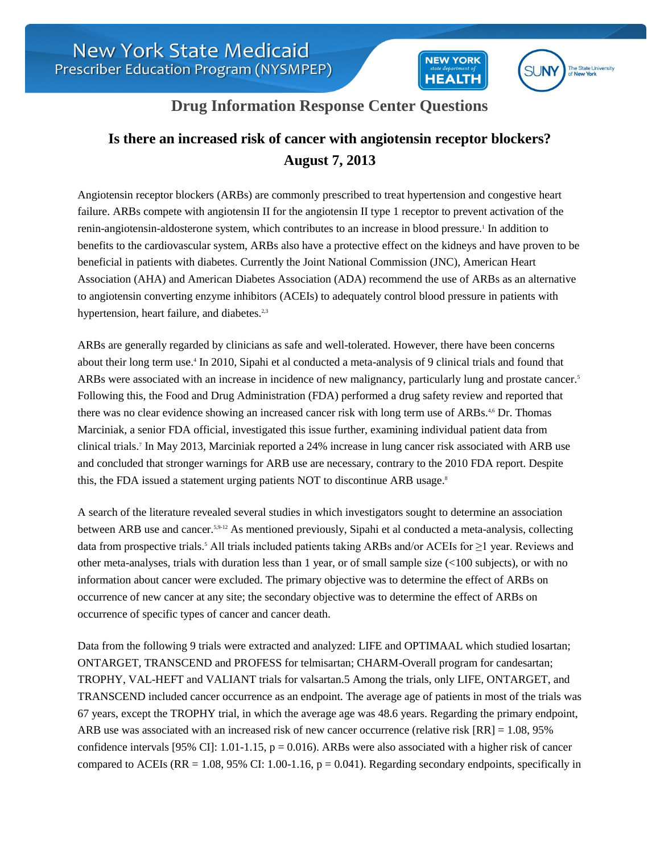

**NEW YORK** 

**HEALTH** 

## **Drug Information Response Center Questions**

## **Is there an increased risk of cancer with angiotensin receptor blockers? August 7, 2013**

Angiotensin receptor blockers (ARBs) are commonly prescribed to treat hypertension and congestive heart failure. ARBs compete with angiotensin II for the angiotensin II type 1 receptor to prevent activation of the renin-angiotensin-aldosterone system, which contributes to an increase in blood pressure.<sup>1</sup> In addition to benefits to the cardiovascular system, ARBs also have a protective effect on the kidneys and have proven to be beneficial in patients with diabetes. Currently the Joint National Commission (JNC), American Heart Association (AHA) and American Diabetes Association (ADA) recommend the use of ARBs as an alternative to angiotensin converting enzyme inhibitors (ACEIs) to adequately control blood pressure in patients with hypertension, heart failure, and diabetes.<sup>2,3</sup>

ARBs are generally regarded by clinicians as safe and well-tolerated. However, there have been concerns about their long term use.<sup>4</sup> In 2010, Sipahi et al conducted a meta-analysis of 9 clinical trials and found that ARBs were associated with an increase in incidence of new malignancy, particularly lung and prostate cancer.<sup>5</sup> Following this, the Food and Drug Administration (FDA) performed a drug safety review and reported that there was no clear evidence showing an increased cancer risk with long term use of ARBs.<sup>4,6</sup> Dr. Thomas Marciniak, a senior FDA official, investigated this issue further, examining individual patient data from clinical trials.<sup>7</sup> In May 2013, Marciniak reported a 24% increase in lung cancer risk associated with ARB use and concluded that stronger warnings for ARB use are necessary, contrary to the 2010 FDA report. Despite this, the FDA issued a statement urging patients NOT to discontinue ARB usage.<sup>8</sup>

A search of the literature revealed several studies in which investigators sought to determine an association between ARB use and cancer.5,9-12 As mentioned previously, Sipahi et al conducted a meta-analysis, collecting data from prospective trials.<sup>5</sup> All trials included patients taking ARBs and/or ACEIs for  $\geq 1$  year. Reviews and other meta-analyses, trials with duration less than 1 year, or of small sample size (<100 subjects), or with no information about cancer were excluded. The primary objective was to determine the effect of ARBs on occurrence of new cancer at any site; the secondary objective was to determine the effect of ARBs on occurrence of specific types of cancer and cancer death.

Data from the following 9 trials were extracted and analyzed: LIFE and OPTIMAAL which studied losartan; ONTARGET, TRANSCEND and PROFESS for telmisartan; CHARM-Overall program for candesartan; TROPHY, VAL-HEFT and VALIANT trials for valsartan.5 Among the trials, only LIFE, ONTARGET, and TRANSCEND included cancer occurrence as an endpoint. The average age of patients in most of the trials was 67 years, except the TROPHY trial, in which the average age was 48.6 years. Regarding the primary endpoint, ARB use was associated with an increased risk of new cancer occurrence (relative risk [RR] = 1.08, 95% confidence intervals [95% CI]:  $1.01-1.15$ , p = 0.016). ARBs were also associated with a higher risk of cancer compared to ACEIs (RR = 1.08, 95% CI: 1.00-1.16,  $p = 0.041$ ). Regarding secondary endpoints, specifically in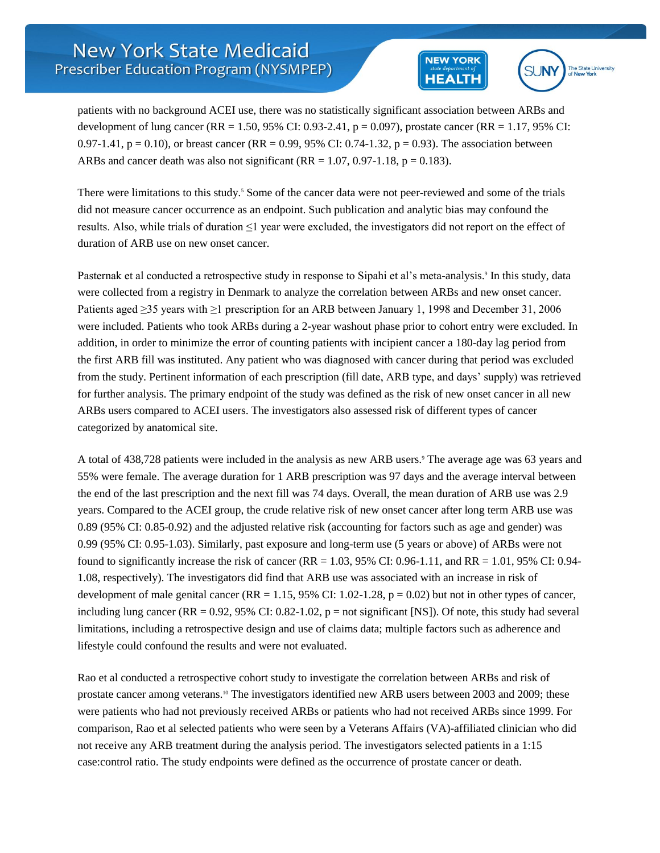



patients with no background ACEI use, there was no statistically significant association between ARBs and development of lung cancer (RR = 1.50, 95% CI: 0.93-2.41,  $p = 0.097$ ), prostate cancer (RR = 1.17, 95% CI: 0.97-1.41,  $p = 0.10$ ), or breast cancer (RR = 0.99, 95% CI: 0.74-1.32,  $p = 0.93$ ). The association between ARBs and cancer death was also not significant (RR =  $1.07, 0.97$ - $1.18, p = 0.183$ ).

There were limitations to this study.<sup>5</sup> Some of the cancer data were not peer-reviewed and some of the trials did not measure cancer occurrence as an endpoint. Such publication and analytic bias may confound the results. Also, while trials of duration ≤1 year were excluded, the investigators did not report on the effect of duration of ARB use on new onset cancer.

Pasternak et al conducted a retrospective study in response to Sipahi et al's meta-analysis.<sup>9</sup> In this study, data were collected from a registry in Denmark to analyze the correlation between ARBs and new onset cancer. Patients aged ≥35 years with ≥1 prescription for an ARB between January 1, 1998 and December 31, 2006 were included. Patients who took ARBs during a 2-year washout phase prior to cohort entry were excluded. In addition, in order to minimize the error of counting patients with incipient cancer a 180-day lag period from the first ARB fill was instituted. Any patient who was diagnosed with cancer during that period was excluded from the study. Pertinent information of each prescription (fill date, ARB type, and days' supply) was retrieved for further analysis. The primary endpoint of the study was defined as the risk of new onset cancer in all new ARBs users compared to ACEI users. The investigators also assessed risk of different types of cancer categorized by anatomical site.

A total of 438,728 patients were included in the analysis as new ARB users.<sup>9</sup> The average age was 63 years and 55% were female. The average duration for 1 ARB prescription was 97 days and the average interval between the end of the last prescription and the next fill was 74 days. Overall, the mean duration of ARB use was 2.9 years. Compared to the ACEI group, the crude relative risk of new onset cancer after long term ARB use was 0.89 (95% CI: 0.85-0.92) and the adjusted relative risk (accounting for factors such as age and gender) was 0.99 (95% CI: 0.95-1.03). Similarly, past exposure and long-term use (5 years or above) of ARBs were not found to significantly increase the risk of cancer (RR =  $1.03$ , 95% CI: 0.96-1.11, and RR =  $1.01$ , 95% CI: 0.94-1.08, respectively). The investigators did find that ARB use was associated with an increase in risk of development of male genital cancer ( $RR = 1.15$ , 95% CI: 1.02-1.28,  $p = 0.02$ ) but not in other types of cancer, including lung cancer ( $RR = 0.92$ ,  $95\%$  CI:  $0.82-1.02$ ,  $p =$  not significant [NS]). Of note, this study had several limitations, including a retrospective design and use of claims data; multiple factors such as adherence and lifestyle could confound the results and were not evaluated.

Rao et al conducted a retrospective cohort study to investigate the correlation between ARBs and risk of prostate cancer among veterans.<sup>10</sup> The investigators identified new ARB users between 2003 and 2009; these were patients who had not previously received ARBs or patients who had not received ARBs since 1999. For comparison, Rao et al selected patients who were seen by a Veterans Affairs (VA)-affiliated clinician who did not receive any ARB treatment during the analysis period. The investigators selected patients in a 1:15 case:control ratio. The study endpoints were defined as the occurrence of prostate cancer or death.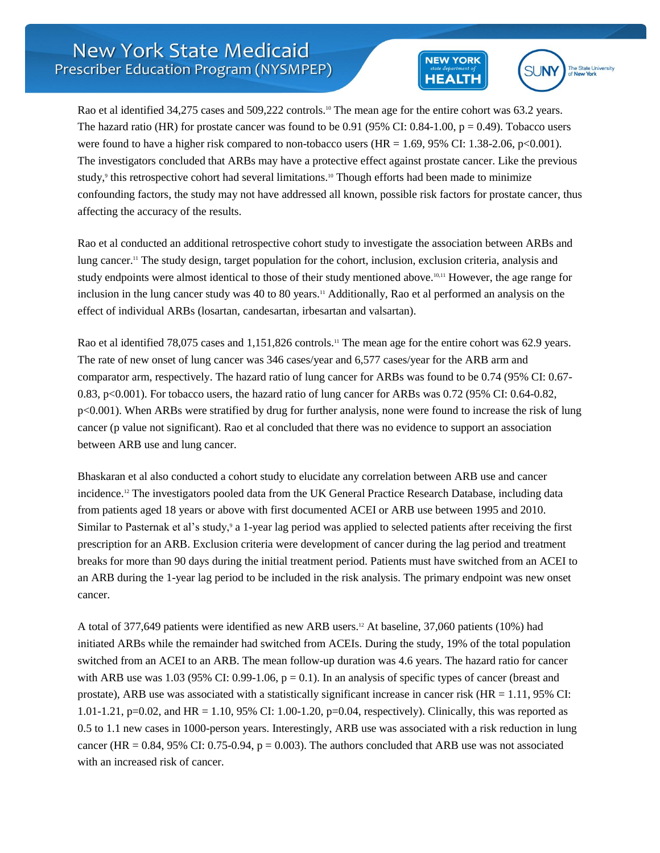



Rao et al identified 34,275 cases and 509,222 controls.<sup>10</sup> The mean age for the entire cohort was 63.2 years. The hazard ratio (HR) for prostate cancer was found to be 0.91 (95% CI: 0.84-1.00,  $p = 0.49$ ). Tobacco users were found to have a higher risk compared to non-tobacco users  $(HR = 1.69, 95\% \text{ CI: } 1.38\text{-}2.06, \text{p} < 0.001)$ . The investigators concluded that ARBs may have a protective effect against prostate cancer. Like the previous study,<sup>9</sup> this retrospective cohort had several limitations.<sup>10</sup> Though efforts had been made to minimize confounding factors, the study may not have addressed all known, possible risk factors for prostate cancer, thus affecting the accuracy of the results.

Rao et al conducted an additional retrospective cohort study to investigate the association between ARBs and lung cancer.<sup>11</sup> The study design, target population for the cohort, inclusion, exclusion criteria, analysis and study endpoints were almost identical to those of their study mentioned above.10,11 However, the age range for inclusion in the lung cancer study was 40 to 80 years.<sup>11</sup> Additionally, Rao et al performed an analysis on the effect of individual ARBs (losartan, candesartan, irbesartan and valsartan).

Rao et al identified 78,075 cases and 1,151,826 controls.<sup>11</sup> The mean age for the entire cohort was 62.9 years. The rate of new onset of lung cancer was 346 cases/year and 6,577 cases/year for the ARB arm and comparator arm, respectively. The hazard ratio of lung cancer for ARBs was found to be 0.74 (95% CI: 0.67- 0.83, p<0.001). For tobacco users, the hazard ratio of lung cancer for ARBs was 0.72 (95% CI: 0.64-0.82, p<0.001). When ARBs were stratified by drug for further analysis, none were found to increase the risk of lung cancer (p value not significant). Rao et al concluded that there was no evidence to support an association between ARB use and lung cancer.

Bhaskaran et al also conducted a cohort study to elucidate any correlation between ARB use and cancer incidence.<sup>12</sup> The investigators pooled data from the UK General Practice Research Database, including data from patients aged 18 years or above with first documented ACEI or ARB use between 1995 and 2010. Similar to Pasternak et al's study,<sup>9</sup> a 1-year lag period was applied to selected patients after receiving the first prescription for an ARB. Exclusion criteria were development of cancer during the lag period and treatment breaks for more than 90 days during the initial treatment period. Patients must have switched from an ACEI to an ARB during the 1-year lag period to be included in the risk analysis. The primary endpoint was new onset cancer.

A total of 377,649 patients were identified as new ARB users.<sup>12</sup> At baseline, 37,060 patients (10%) had initiated ARBs while the remainder had switched from ACEIs. During the study, 19% of the total population switched from an ACEI to an ARB. The mean follow-up duration was 4.6 years. The hazard ratio for cancer with ARB use was 1.03 (95% CI: 0.99-1.06,  $p = 0.1$ ). In an analysis of specific types of cancer (breast and prostate), ARB use was associated with a statistically significant increase in cancer risk ( $HR = 1.11$ , 95% CI: 1.01-1.21, p=0.02, and HR = 1.10, 95% CI: 1.00-1.20, p=0.04, respectively). Clinically, this was reported as 0.5 to 1.1 new cases in 1000-person years. Interestingly, ARB use was associated with a risk reduction in lung cancer (HR =  $0.84$ , 95% CI: 0.75-0.94, p = 0.003). The authors concluded that ARB use was not associated with an increased risk of cancer.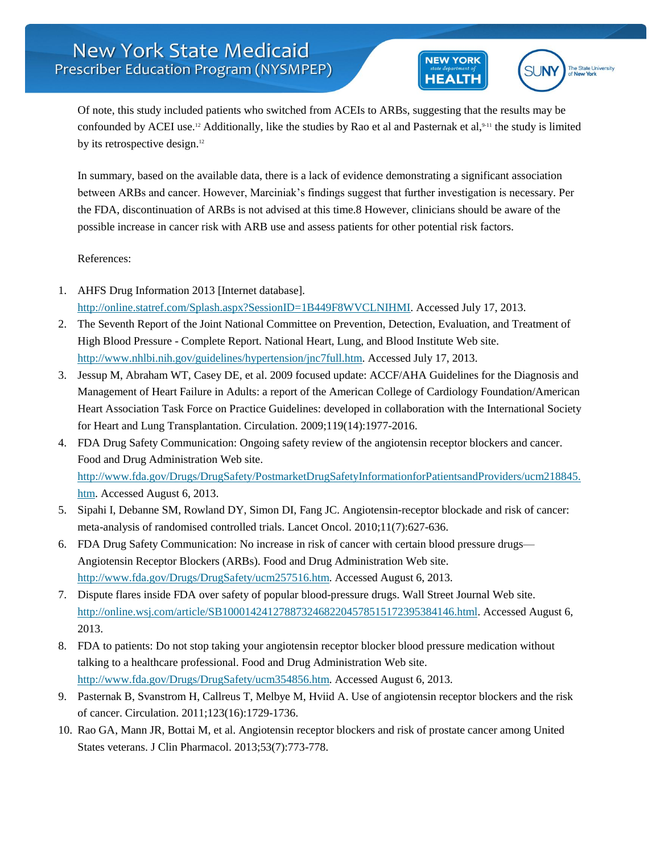



Of note, this study included patients who switched from ACEIs to ARBs, suggesting that the results may be confounded by ACEI use.<sup>12</sup> Additionally, like the studies by Rao et al and Pasternak et al,<sup>9-11</sup> the study is limited by its retrospective design.<sup>12</sup>

In summary, based on the available data, there is a lack of evidence demonstrating a significant association between ARBs and cancer. However, Marciniak's findings suggest that further investigation is necessary. Per the FDA, discontinuation of ARBs is not advised at this time.8 However, clinicians should be aware of the possible increase in cancer risk with ARB use and assess patients for other potential risk factors.

## References:

- 1. AHFS Drug Information 2013 [Internet database]. [http://online.statref.com/Splash.aspx?SessionID=1B449F8WVCLNIHMI.](http://online.statref.com/Splash.aspx?SessionID=1B449F8WVCLNIHMI) Accessed July 17, 2013.
- 2. The Seventh Report of the Joint National Committee on Prevention, Detection, Evaluation, and Treatment of High Blood Pressure - Complete Report. National Heart, Lung, and Blood Institute Web site. [http://www.nhlbi.nih.gov/guidelines/hypertension/jnc7full.htm.](http://www.nhlbi.nih.gov/guidelines/hypertension/jnc7full.htm) Accessed July 17, 2013.
- 3. Jessup M, Abraham WT, Casey DE, et al. 2009 focused update: ACCF/AHA Guidelines for the Diagnosis and Management of Heart Failure in Adults: a report of the American College of Cardiology Foundation/American Heart Association Task Force on Practice Guidelines: developed in collaboration with the International Society for Heart and Lung Transplantation. Circulation. 2009;119(14):1977-2016.
- 4. FDA Drug Safety Communication: Ongoing safety review of the angiotensin receptor blockers and cancer. Food and Drug Administration Web site. [http://www.fda.gov/Drugs/DrugSafety/PostmarketDrugSafetyInformationforPatientsandProviders/ucm218845.](http://www.fda.gov/Drugs/DrugSafety/PostmarketDrugSafetyInformationforPatientsandProviders/ucm218845.htm) [htm.](http://www.fda.gov/Drugs/DrugSafety/PostmarketDrugSafetyInformationforPatientsandProviders/ucm218845.htm) Accessed August 6, 2013.
- 5. Sipahi I, Debanne SM, Rowland DY, Simon DI, Fang JC. Angiotensin-receptor blockade and risk of cancer: meta-analysis of randomised controlled trials. Lancet Oncol. 2010;11(7):627-636.
- 6. FDA Drug Safety Communication: No increase in risk of cancer with certain blood pressure drugs— Angiotensin Receptor Blockers (ARBs). Food and Drug Administration Web site. [http://www.fda.gov/Drugs/DrugSafety/ucm257516.htm.](http://www.fda.gov/Drugs/DrugSafety/ucm257516.htm) Accessed August 6, 2013.
- 7. Dispute flares inside FDA over safety of popular blood-pressure drugs. Wall Street Journal Web site. [http://online.wsj.com/article/SB10001424127887324682204578515172395384146.html.](http://online.wsj.com/article/SB10001424127887324682204578515172395384146.html) Accessed August 6, 2013.
- 8. FDA to patients: Do not stop taking your angiotensin receptor blocker blood pressure medication without talking to a healthcare professional. Food and Drug Administration Web site. [http://www.fda.gov/Drugs/DrugSafety/ucm354856.htm.](http://www.fda.gov/Drugs/DrugSafety/ucm354856.htm) Accessed August 6, 2013.
- 9. Pasternak B, Svanstrom H, Callreus T, Melbye M, Hviid A. Use of angiotensin receptor blockers and the risk of cancer. Circulation. 2011;123(16):1729-1736.
- 10. Rao GA, Mann JR, Bottai M, et al. Angiotensin receptor blockers and risk of prostate cancer among United States veterans. J Clin Pharmacol. 2013;53(7):773-778.